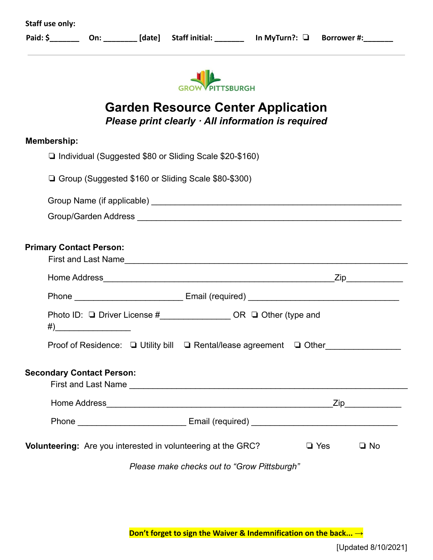| <b>Staff use only:</b><br>Paid: \$_____________________________ [date] Staff initial: ______________ In MyTurn?: □ Borrower #:__________ |            |           |
|------------------------------------------------------------------------------------------------------------------------------------------|------------|-----------|
| <b>TSBURGH</b>                                                                                                                           |            |           |
| <b>Garden Resource Center Application</b><br>Please print clearly · All information is required                                          |            |           |
| <b>Membership:</b>                                                                                                                       |            |           |
| □ Individual (Suggested \$80 or Sliding Scale \$20-\$160)                                                                                |            |           |
| □ Group (Suggested \$160 or Sliding Scale \$80-\$300)                                                                                    |            |           |
|                                                                                                                                          |            |           |
|                                                                                                                                          |            |           |
| <b>Primary Contact Person:</b>                                                                                                           |            |           |
| Phone ________________________________Email (required) __________________________                                                        |            |           |
| Photo ID: □ Driver License #_____________________OR □ Other (type and                                                                    |            |           |
| Proof of Residence: □ Utility bill □ Rental/lease agreement □ Other_____________                                                         |            |           |
| <b>Secondary Contact Person:</b>                                                                                                         |            |           |
|                                                                                                                                          |            |           |
|                                                                                                                                          |            |           |
| Volunteering: Are you interested in volunteering at the GRC?                                                                             | $\Box$ Yes | $\Box$ No |
| Please make checks out to "Grow Pittsburgh"                                                                                              |            |           |

**Don't forget to sign the Waiver & Indemnification on the back... →**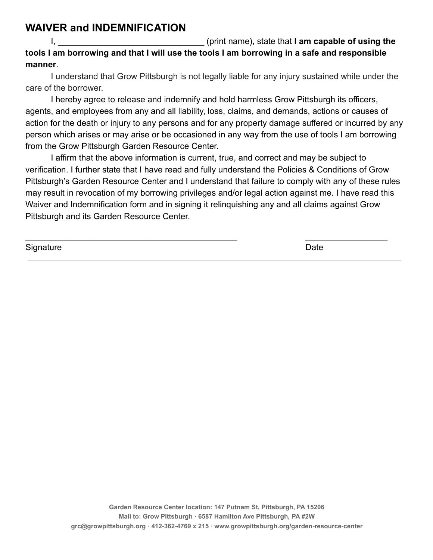## **WAIVER and INDEMNIFICATION**

I, **I** and the state that I am capable of using the state that I am capable of using the **tools I am borrowing and that I will use the tools I am borrowing in a safe and responsible manner**.

I understand that Grow Pittsburgh is not legally liable for any injury sustained while under the care of the borrower.

I hereby agree to release and indemnify and hold harmless Grow Pittsburgh its officers, agents, and employees from any and all liability, loss, claims, and demands, actions or causes of action for the death or injury to any persons and for any property damage suffered or incurred by any person which arises or may arise or be occasioned in any way from the use of tools I am borrowing from the Grow Pittsburgh Garden Resource Center.

I affirm that the above information is current, true, and correct and may be subject to verification. I further state that I have read and fully understand the Policies & Conditions of Grow Pittsburgh's Garden Resource Center and I understand that failure to comply with any of these rules may result in revocation of my borrowing privileges and/or legal action against me. I have read this Waiver and Indemnification form and in signing it relinquishing any and all claims against Grow Pittsburgh and its Garden Resource Center.

| Signature | Date |
|-----------|------|